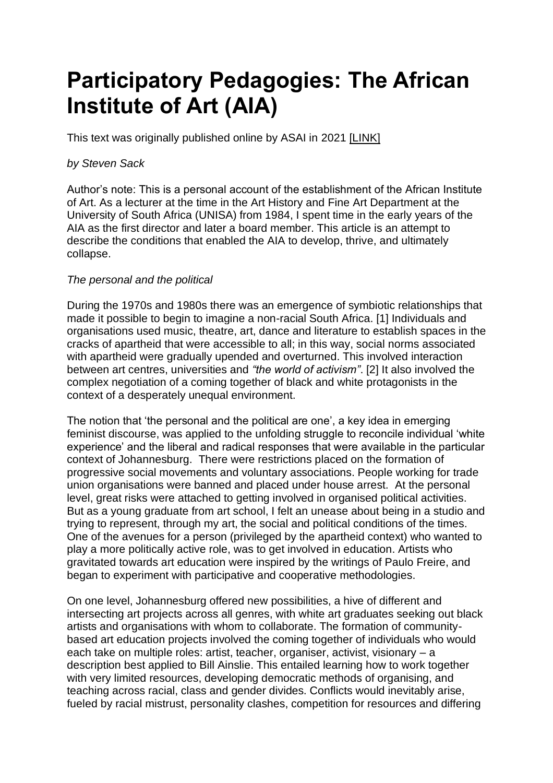# **Participatory Pedagogies: The African Institute of Art (AIA)**

This text was originally published online by ASAI in 2021 [\[LINK\]](https://asai.co.za/participatory-pedagogies-the-african-institute-of-art/)

# *by Steven Sack*

Author's note: This is a personal account of the establishment of the African Institute of Art. As a lecturer at the time in the Art History and Fine Art Department at the University of South Africa (UNISA) from 1984, I spent time in the early years of the AIA as the first director and later a board member. This article is an attempt to describe the conditions that enabled the AIA to develop, thrive, and ultimately collapse.

# *The personal and the political*

During the 1970s and 1980s there was an emergence of symbiotic relationships that made it possible to begin to imagine a non-racial South Africa. [\[1\]](https://asai.co.za/participatory-pedagogies-the-african-institute-of-art/#_edn1) Individuals and organisations used music, theatre, art, dance and literature to establish spaces in the cracks of apartheid that were accessible to all; in this way, social norms associated with apartheid were gradually upended and overturned. This involved interaction between art centres, universities and *"the world of activism"*. [\[2\]](https://asai.co.za/participatory-pedagogies-the-african-institute-of-art/#_edn2) It also involved the complex negotiation of a coming together of black and white protagonists in the context of a desperately unequal environment.

The notion that 'the personal and the political are one', a key idea in emerging feminist discourse, was applied to the unfolding struggle to reconcile individual 'white experience' and the liberal and radical responses that were available in the particular context of Johannesburg. There were restrictions placed on the formation of progressive social movements and voluntary associations. People working for trade union organisations were banned and placed under house arrest. At the personal level, great risks were attached to getting involved in organised political activities. But as a young graduate from art school, I felt an unease about being in a studio and trying to represent, through my art, the social and political conditions of the times. One of the avenues for a person (privileged by the apartheid context) who wanted to play a more politically active role, was to get involved in education. Artists who gravitated towards art education were inspired by the writings of Paulo Freire, and began to experiment with participative and cooperative methodologies.

On one level, Johannesburg offered new possibilities, a hive of different and intersecting art projects across all genres, with white art graduates seeking out black artists and organisations with whom to collaborate. The formation of communitybased art education projects involved the coming together of individuals who would each take on multiple roles: artist, teacher, organiser, activist, visionary – a description best applied to Bill Ainslie. This entailed learning how to work together with very limited resources, developing democratic methods of organising, and teaching across racial, class and gender divides. Conflicts would inevitably arise, fueled by racial mistrust, personality clashes, competition for resources and differing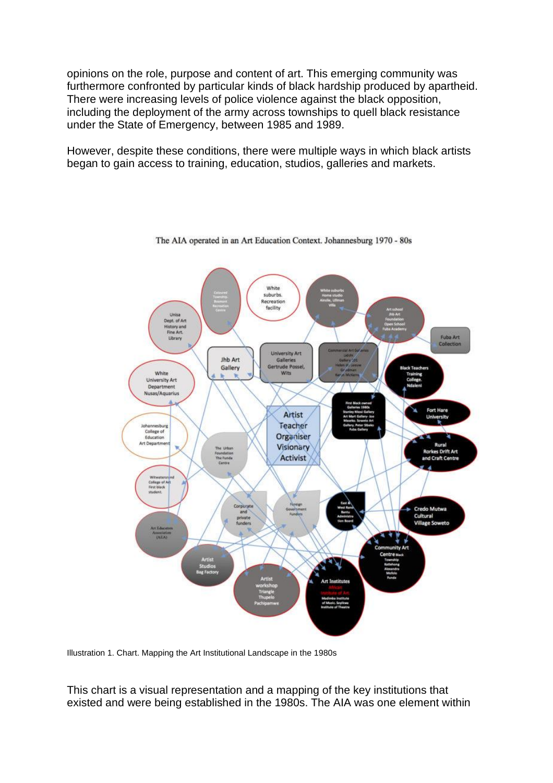opinions on the role, purpose and content of art. This emerging community was furthermore confronted by particular kinds of black hardship produced by apartheid. There were increasing levels of police violence against the black opposition, including the deployment of the army across townships to quell black resistance under the State of Emergency, between 1985 and 1989.

However, despite these conditions, there were multiple ways in which black artists began to gain access to training, education, studios, galleries and markets.



The AIA operated in an Art Education Context. Johannesburg 1970 - 80s

Illustration 1. Chart. Mapping the Art Institutional Landscape in the 1980s

This chart is a visual representation and a mapping of the key institutions that existed and were being established in the 1980s. The AIA was one element within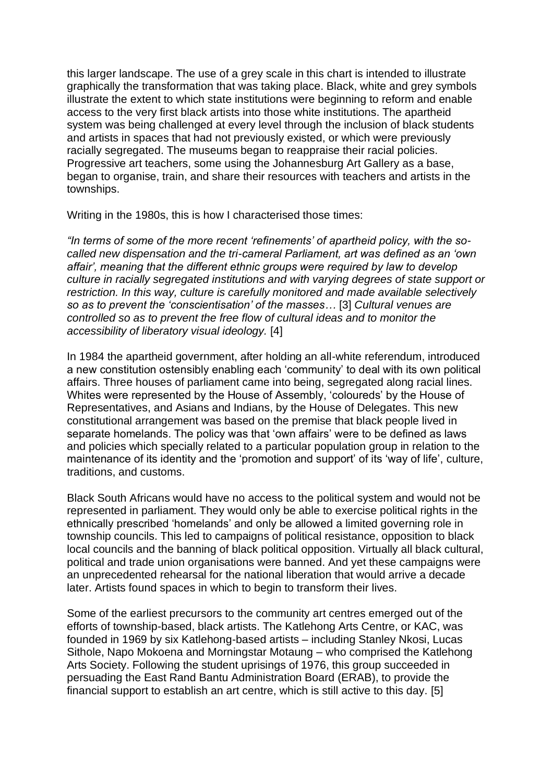this larger landscape. The use of a grey scale in this chart is intended to illustrate graphically the transformation that was taking place. Black, white and grey symbols illustrate the extent to which state institutions were beginning to reform and enable access to the very first black artists into those white institutions. The apartheid system was being challenged at every level through the inclusion of black students and artists in spaces that had not previously existed, or which were previously racially segregated. The museums began to reappraise their racial policies. Progressive art teachers, some using the Johannesburg Art Gallery as a base, began to organise, train, and share their resources with teachers and artists in the townships.

Writing in the 1980s, this is how I characterised those times:

*"In terms of some of the more recent 'refinements' of apartheid policy, with the socalled new dispensation and the tri-cameral Parliament, art was defined as an 'own affair', meaning that the different ethnic groups were required by law to develop culture in racially segregated institutions and with varying degrees of state support or restriction. In this way, culture is carefully monitored and made available selectively so as to prevent the 'conscientisation' of the masses…* [\[3\]](https://asai.co.za/participatory-pedagogies-the-african-institute-of-art/#_edn3) *Cultural venues are controlled so as to prevent the free flow of cultural ideas and to monitor the accessibility of liberatory visual ideology.* [\[4\]](https://asai.co.za/participatory-pedagogies-the-african-institute-of-art/#_edn4)

In 1984 the apartheid government, after holding an all-white referendum, introduced a new constitution ostensibly enabling each 'community' to deal with its own political affairs. Three houses of parliament came into being, segregated along racial lines. Whites were represented by the House of Assembly, 'coloureds' by the House of Representatives, and Asians and Indians, by the House of Delegates. This new constitutional arrangement was based on the premise that black people lived in separate homelands. The policy was that 'own affairs' were to be defined as laws and policies which specially related to a particular population group in relation to the maintenance of its identity and the 'promotion and support' of its 'way of life', culture, traditions, and customs.

Black South Africans would have no access to the political system and would not be represented in parliament. They would only be able to exercise political rights in the ethnically prescribed 'homelands' and only be allowed a limited governing role in township councils. This led to campaigns of political resistance, opposition to black local councils and the banning of black political opposition. Virtually all black cultural, political and trade union organisations were banned. And yet these campaigns were an unprecedented rehearsal for the national liberation that would arrive a decade later. Artists found spaces in which to begin to transform their lives.

Some of the earliest precursors to the community art centres emerged out of the efforts of township-based, black artists. The Katlehong Arts Centre, or KAC, was founded in 1969 by six Katlehong-based artists – including Stanley Nkosi, Lucas Sithole, Napo Mokoena and Morningstar Motaung – who comprised the Katlehong Arts Society. Following the student uprisings of 1976, this group succeeded in persuading the East Rand Bantu Administration Board (ERAB), to provide the financial support to establish an art centre, which is still active to this day. [\[5\]](https://asai.co.za/participatory-pedagogies-the-african-institute-of-art/#_edn5)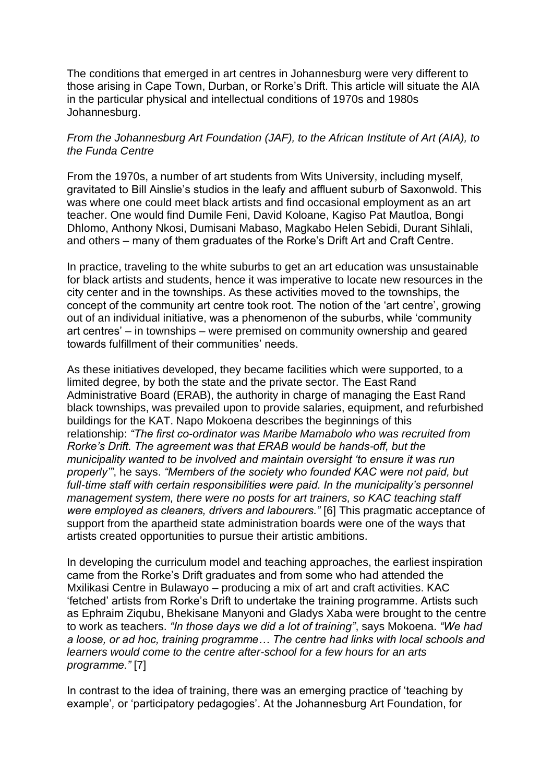The conditions that emerged in art centres in Johannesburg were very different to those arising in Cape Town, Durban, or Rorke's Drift. This article will situate the AIA in the particular physical and intellectual conditions of 1970s and 1980s Johannesburg.

## *From the Johannesburg Art Foundation (JAF), to the African Institute of Art (AIA), to the Funda Centre*

From the 1970s, a number of art students from Wits University, including myself, gravitated to Bill Ainslie's studios in the leafy and affluent suburb of Saxonwold. This was where one could meet black artists and find occasional employment as an art teacher. One would find Dumile Feni, David Koloane, Kagiso Pat Mautloa, Bongi Dhlomo, Anthony Nkosi, Dumisani Mabaso, Magkabo Helen Sebidi, Durant Sihlali, and others – many of them graduates of the Rorke's Drift Art and Craft Centre.

In practice, traveling to the white suburbs to get an art education was unsustainable for black artists and students, hence it was imperative to locate new resources in the city center and in the townships. As these activities moved to the townships, the concept of the community art centre took root. The notion of the 'art centre', growing out of an individual initiative, was a phenomenon of the suburbs, while 'community art centres' – in townships – were premised on community ownership and geared towards fulfillment of their communities' needs.

As these initiatives developed, they became facilities which were supported, to a limited degree, by both the state and the private sector. The East Rand Administrative Board (ERAB), the authority in charge of managing the East Rand black townships, was prevailed upon to provide salaries, equipment, and refurbished buildings for the KAT. Napo Mokoena describes the beginnings of this relationship: *"The first co-ordinator was Maribe Mamabolo who was recruited from Rorke's Drift. The agreement was that ERAB would be hands-off, but the municipality wanted to be involved and maintain oversight 'to ensure it was run properly'"*, he says. *"Members of the society who founded KAC were not paid, but full-time staff with certain responsibilities were paid. In the municipality's personnel management system, there were no posts for art trainers, so KAC teaching staff were employed as cleaners, drivers and labourers."* [\[6\]](https://asai.co.za/participatory-pedagogies-the-african-institute-of-art/#_edn6) This pragmatic acceptance of support from the apartheid state administration boards were one of the ways that artists created opportunities to pursue their artistic ambitions.

In developing the curriculum model and teaching approaches, the earliest inspiration came from the Rorke's Drift graduates and from some who had attended the Mxilikasi Centre in Bulawayo – producing a mix of art and craft activities. KAC 'fetched' artists from Rorke's Drift to undertake the training programme. Artists such as Ephraim Ziqubu, Bhekisane Manyoni and Gladys Xaba were brought to the centre to work as teachers. *"In those days we did a lot of training"*, says Mokoena. *"We had a loose, or ad hoc, training programme… The centre had links with local schools and learners would come to the centre after-school for a few hours for an arts programme."* [\[7\]](https://asai.co.za/participatory-pedagogies-the-african-institute-of-art/#_edn7)

In contrast to the idea of training, there was an emerging practice of 'teaching by example'*,* or 'participatory pedagogies'. At the Johannesburg Art Foundation, for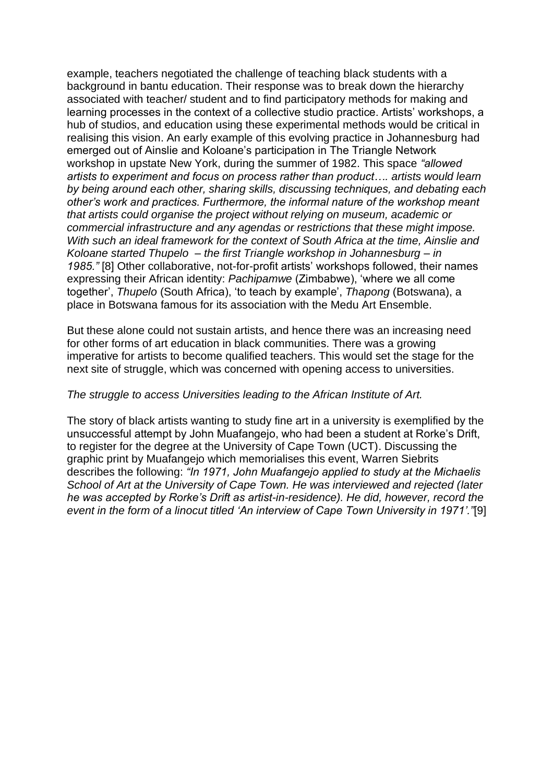example, teachers negotiated the challenge of teaching black students with a background in bantu education. Their response was to break down the hierarchy associated with teacher/ student and to find participatory methods for making and learning processes in the context of a collective studio practice. Artists' workshops, a hub of studios, and education using these experimental methods would be critical in realising this vision. An early example of this evolving practice in Johannesburg had emerged out of Ainslie and Koloane's participation in The Triangle Network workshop in upstate New York, during the summer of 1982. This space *"allowed artists to experiment and focus on process rather than product…. artists would learn by being around each other, sharing skills, discussing techniques, and debating each other's work and practices. Furthermore, the informal nature of the workshop meant that artists could organise the project without relying on museum, academic or commercial infrastructure and any agendas or restrictions that these might impose. With such an ideal framework for the context of South Africa at the time, Ainslie and Koloane started Thupelo – the first Triangle workshop in Johannesburg – in 1985."* [\[8\]](https://asai.co.za/participatory-pedagogies-the-african-institute-of-art/#_edn8) Other collaborative, not-for-profit artists' workshops followed, their names expressing their African identity: *Pachipamwe* (Zimbabwe), 'where we all come together', *Thupelo* (South Africa), 'to teach by example', *Thapong* (Botswana), a place in Botswana famous for its association with the Medu Art Ensemble.

But these alone could not sustain artists, and hence there was an increasing need for other forms of art education in black communities. There was a growing imperative for artists to become qualified teachers. This would set the stage for the next site of struggle, which was concerned with opening access to universities.

#### *The struggle to access Universities leading to the African Institute of Art.*

The story of black artists wanting to study fine art in a university is exemplified by the unsuccessful attempt by John Muafangejo, who had been a student at Rorke's Drift, to register for the degree at the University of Cape Town (UCT). Discussing the graphic print by Muafangejo which memorialises this event, Warren Siebrits describes the following: *"In 1971, John Muafangejo applied to study at the Michaelis School of Art at the University of Cape Town. He was interviewed and rejected (later he was accepted by Rorke's Drift as artist-in-residence). He did, however, record the event in the form of a linocut titled 'An interview of Cape Town University in 1971'."*[\[9\]](https://asai.co.za/participatory-pedagogies-the-african-institute-of-art/#_edn9)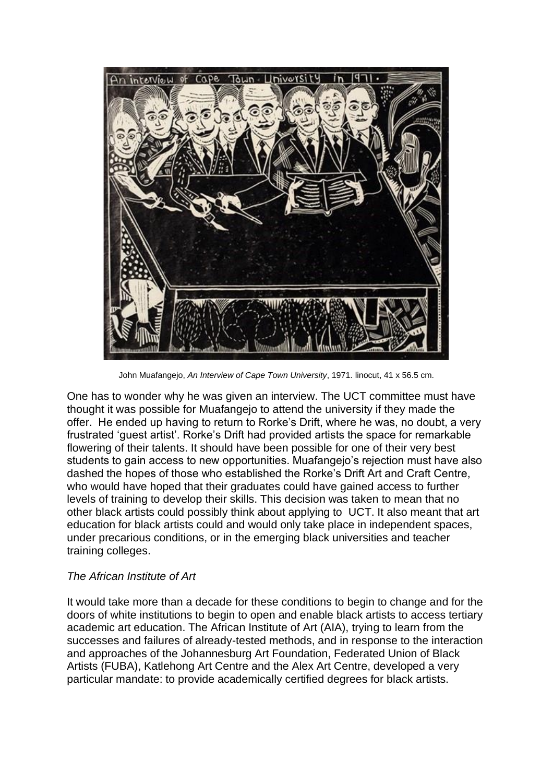

John Muafangejo, *An Interview of Cape Town University*, 1971. linocut, 41 x 56.5 cm.

One has to wonder why he was given an interview. The UCT committee must have thought it was possible for Muafangejo to attend the university if they made the offer. He ended up having to return to Rorke's Drift, where he was, no doubt, a very frustrated 'guest artist'. Rorke's Drift had provided artists the space for remarkable flowering of their talents. It should have been possible for one of their very best students to gain access to new opportunities. Muafangejo's rejection must have also dashed the hopes of those who established the Rorke's Drift Art and Craft Centre, who would have hoped that their graduates could have gained access to further levels of training to develop their skills. This decision was taken to mean that no other black artists could possibly think about applying to UCT. It also meant that art education for black artists could and would only take place in independent spaces, under precarious conditions, or in the emerging black universities and teacher training colleges.

## *The African Institute of Art*

It would take more than a decade for these conditions to begin to change and for the doors of white institutions to begin to open and enable black artists to access tertiary academic art education. The African Institute of Art (AIA), trying to learn from the successes and failures of already-tested methods, and in response to the interaction and approaches of the Johannesburg Art Foundation, Federated Union of Black Artists (FUBA), Katlehong Art Centre and the Alex Art Centre, developed a very particular mandate: to provide academically certified degrees for black artists.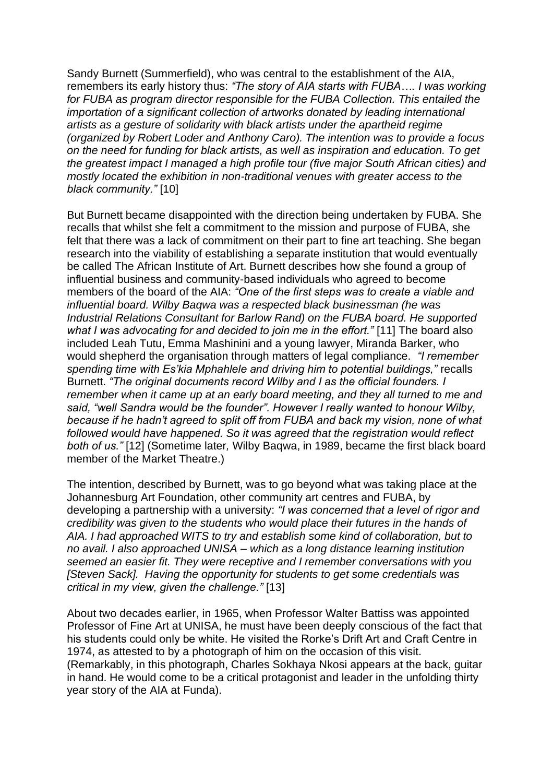Sandy Burnett (Summerfield), who was central to the establishment of the AIA, remembers its early history thus: *"The story of AIA starts with FUBA…. I was working for FUBA as program director responsible for the FUBA Collection. This entailed the importation of a significant collection of artworks donated by leading international artists as a gesture of solidarity with black artists under the apartheid regime (organized by Robert Loder and Anthony Caro). The intention was to provide a focus on the need for funding for black artists, as well as inspiration and education. To get the greatest impact I managed a high profile tour (five major South African cities) and mostly located the exhibition in non-traditional venues with greater access to the black community."* [\[10\]](https://asai.co.za/participatory-pedagogies-the-african-institute-of-art/#_edn10)

But Burnett became disappointed with the direction being undertaken by FUBA. She recalls that whilst she felt a commitment to the mission and purpose of FUBA, she felt that there was a lack of commitment on their part to fine art teaching. She began research into the viability of establishing a separate institution that would eventually be called The African Institute of Art. Burnett describes how she found a group of influential business and community-based individuals who agreed to become members of the board of the AIA: *"One of the first steps was to create a viable and influential board. Wilby Baqwa was a respected black businessman (he was Industrial Relations Consultant for Barlow Rand) on the FUBA board. He supported what I was advocating for and decided to join me in the effort."* [\[11\]](https://asai.co.za/participatory-pedagogies-the-african-institute-of-art/#_edn11) The board also included Leah Tutu, Emma Mashinini and a young lawyer, Miranda Barker, who would shepherd the organisation through matters of legal compliance. *"I remember spending time with Es'kia Mphahlele and driving him to potential buildings,"* recalls Burnett. *"The original documents record Wilby and I as the official founders. I remember when it came up at an early board meeting, and they all turned to me and said, "well Sandra would be the founder". However I really wanted to honour Wilby, because if he hadn't agreed to split off from FUBA and back my vision, none of what followed would have happened. So it was agreed that the registration would reflect both of us."* [\[12\]](https://asai.co.za/participatory-pedagogies-the-african-institute-of-art/#_edn12) (Sometime later*,* Wilby Baqwa, in 1989, became the first black board member of the Market Theatre.)

The intention, described by Burnett, was to go beyond what was taking place at the Johannesburg Art Foundation, other community art centres and FUBA, by developing a partnership with a university: *"I was concerned that a level of rigor and credibility was given to the students who would place their futures in the hands of AIA. I had approached WITS to try and establish some kind of collaboration, but to no avail. I also approached UNISA – which as a long distance learning institution seemed an easier fit. They were receptive and I remember conversations with you [Steven Sack]. Having the opportunity for students to get some credentials was critical in my view, given the challenge."* [\[13\]](https://asai.co.za/participatory-pedagogies-the-african-institute-of-art/#_edn13)

About two decades earlier, in 1965, when Professor Walter Battiss was appointed Professor of Fine Art at UNISA, he must have been deeply conscious of the fact that his students could only be white. He visited the Rorke's Drift Art and Craft Centre in 1974, as attested to by a photograph of him on the occasion of this visit. (Remarkably, in this photograph, Charles Sokhaya Nkosi appears at the back, guitar in hand. He would come to be a critical protagonist and leader in the unfolding thirty year story of the AIA at Funda).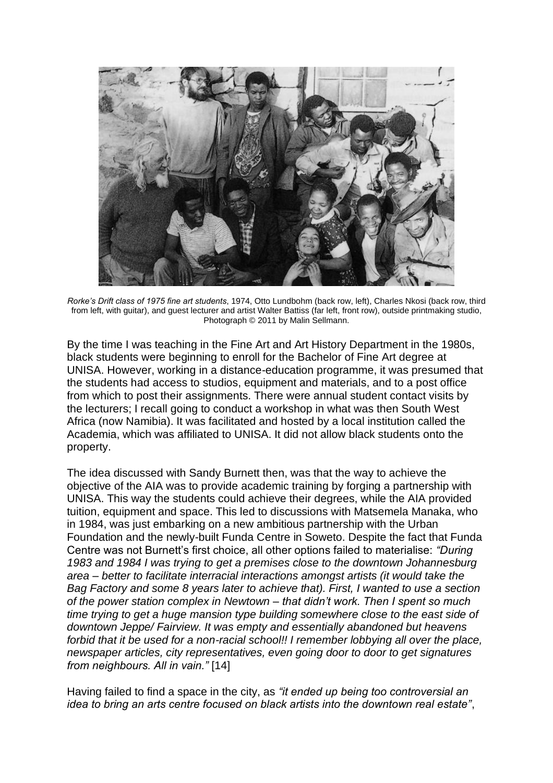

*Rorke's Drift class of 1975 fine art students*, 1974, Otto Lundbohm (back row, left), Charles Nkosi (back row, third from left, with guitar), and guest lecturer and artist Walter Battiss (far left, front row), outside printmaking studio, Photograph © 2011 by Malin Sellmann.

By the time I was teaching in the Fine Art and Art History Department in the 1980s, black students were beginning to enroll for the Bachelor of Fine Art degree at UNISA. However, working in a distance-education programme, it was presumed that the students had access to studios, equipment and materials, and to a post office from which to post their assignments. There were annual student contact visits by the lecturers; I recall going to conduct a workshop in what was then South West Africa (now Namibia). It was facilitated and hosted by a local institution called the Academia, which was affiliated to UNISA. It did not allow black students onto the property.

The idea discussed with Sandy Burnett then, was that the way to achieve the objective of the AIA was to provide academic training by forging a partnership with UNISA. This way the students could achieve their degrees, while the AIA provided tuition, equipment and space. This led to discussions with Matsemela Manaka, who in 1984, was just embarking on a new ambitious partnership with the Urban Foundation and the newly-built Funda Centre in Soweto. Despite the fact that Funda Centre was not Burnett's first choice, all other options failed to materialise: *"During 1983 and 1984 I was trying to get a premises close to the downtown Johannesburg area – better to facilitate interracial interactions amongst artists (it would take the Bag Factory and some 8 years later to achieve that). First, I wanted to use a section of the power station complex in Newtown – that didn't work. Then I spent so much time trying to get a huge mansion type building somewhere close to the east side of downtown Jeppe/ Fairview. It was empty and essentially abandoned but heavens forbid that it be used for a non-racial school!! I remember lobbying all over the place, newspaper articles, city representatives, even going door to door to get signatures from neighbours. All in vain."* [\[14\]](https://asai.co.za/participatory-pedagogies-the-african-institute-of-art/#_edn14)

Having failed to find a space in the city, as *"it ended up being too controversial an idea to bring an arts centre focused on black artists into the downtown real estate"*,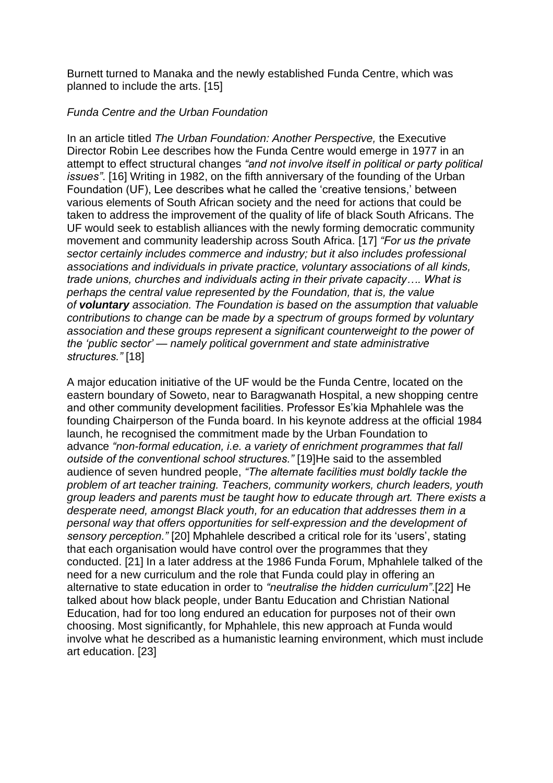Burnett turned to Manaka and the newly established Funda Centre, which was planned to include the arts. [\[15\]](https://asai.co.za/participatory-pedagogies-the-african-institute-of-art/#_edn15)

# *Funda Centre and the Urban Foundation*

In an article titled *The Urban Foundation: Another Perspective,* the Executive Director Robin Lee describes how the Funda Centre would emerge in 1977 in an attempt to effect structural changes *"and not involve itself in political or party political issues"*. [\[16\]](https://asai.co.za/participatory-pedagogies-the-african-institute-of-art/#_edn16) Writing in 1982, on the fifth anniversary of the founding of the Urban Foundation (UF), Lee describes what he called the 'creative tensions,' between various elements of South African society and the need for actions that could be taken to address the improvement of the quality of life of black South Africans. The UF would seek to establish alliances with the newly forming democratic community movement and community leadership across South Africa. [\[17\]](https://asai.co.za/participatory-pedagogies-the-african-institute-of-art/#_edn17) *"For us the private sector certainly includes commerce and industry; but it also includes professional associations and individuals in private practice, voluntary associations of all kinds, trade unions, churches and individuals acting in their private capacity…. What is perhaps the central value represented by the Foundation, that is, the value of voluntary association. The Foundation is based on the assumption that valuable contributions to change can be made by a spectrum of groups formed by voluntary association and these groups represent a significant counterweight to the power of the 'public sector' — namely political government and state administrative structures."* [\[18\]](https://asai.co.za/participatory-pedagogies-the-african-institute-of-art/#_edn18)

A major education initiative of the UF would be the Funda Centre, located on the eastern boundary of Soweto, near to Baragwanath Hospital, a new shopping centre and other community development facilities. Professor Es'kia Mphahlele was the founding Chairperson of the Funda board. In his keynote address at the official 1984 launch, he recognised the commitment made by the Urban Foundation to advance *"non-formal education, i.e. a variety of enrichment programmes that fall outside of the conventional school structures."* [\[19\]H](https://asai.co.za/participatory-pedagogies-the-african-institute-of-art/#_edn19)e said to the assembled audience of seven hundred people, *"The alternate facilities must boldly tackle the problem of art teacher training. Teachers, community workers, church leaders, youth group leaders and parents must be taught how to educate through art. There exists a desperate need, amongst Black youth, for an education that addresses them in a personal way that offers opportunities for self-expression and the development of sensory perception."* [\[20\]](https://asai.co.za/participatory-pedagogies-the-african-institute-of-art/#_edn20) Mphahlele described a critical role for its 'users', stating that each organisation would have control over the programmes that they conducted. [\[21\]](https://asai.co.za/participatory-pedagogies-the-african-institute-of-art/#_edn21) In a later address at the 1986 Funda Forum, Mphahlele talked of the need for a new curriculum and the role that Funda could play in offering an alternative to state education in order to *"neutralise the hidden curriculum"*[.\[22\]](https://asai.co.za/participatory-pedagogies-the-african-institute-of-art/#_edn22) He talked about how black people, under Bantu Education and Christian National Education, had for too long endured an education for purposes not of their own choosing. Most significantly, for Mphahlele, this new approach at Funda would involve what he described as a humanistic learning environment, which must include art education. [\[23\]](https://asai.co.za/participatory-pedagogies-the-african-institute-of-art/#_edn23)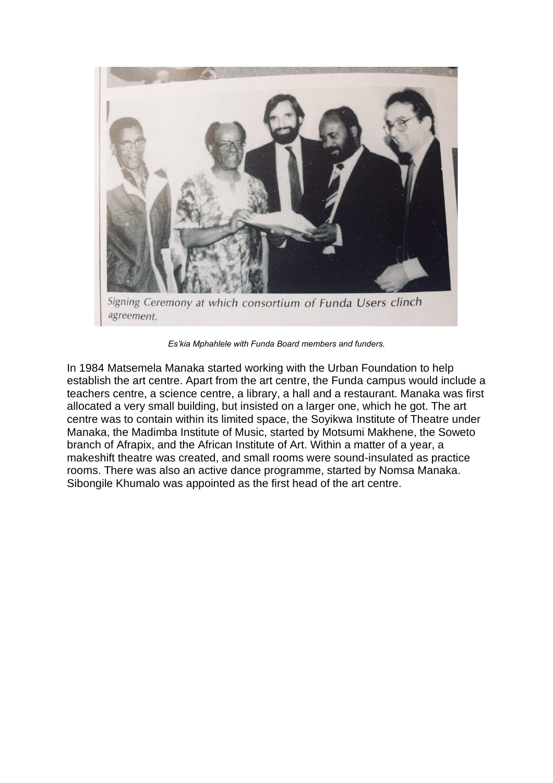

Signing Ceremony at which consortium of Funda Users clinch agreement.

*Es'kia Mphahlele with Funda Board members and funders.*

In 1984 Matsemela Manaka started working with the Urban Foundation to help establish the art centre. Apart from the art centre, the Funda campus would include a teachers centre, a science centre, a library, a hall and a restaurant. Manaka was first allocated a very small building, but insisted on a larger one, which he got. The art centre was to contain within its limited space, the Soyikwa Institute of Theatre under Manaka, the Madimba Institute of Music, started by Motsumi Makhene, the Soweto branch of Afrapix, and the African Institute of Art. Within a matter of a year, a makeshift theatre was created, and small rooms were sound-insulated as practice rooms. There was also an active dance programme, started by Nomsa Manaka. Sibongile Khumalo was appointed as the first head of the art centre.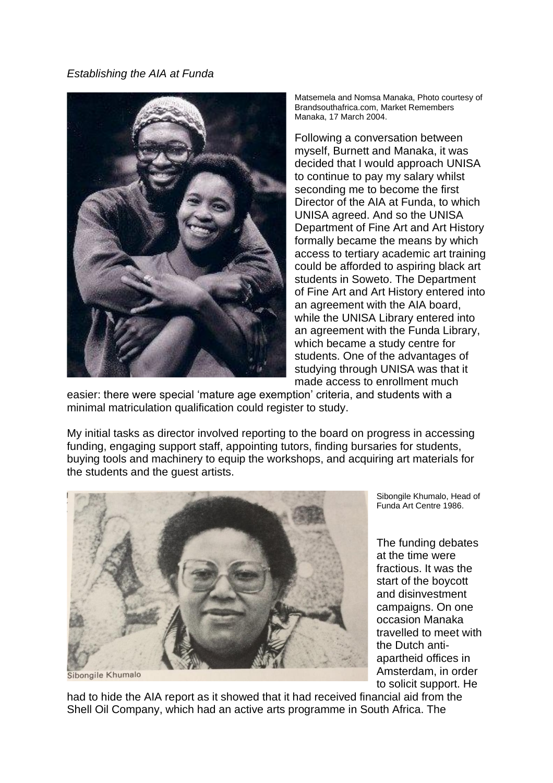*Establishing the AIA at Funda*



Matsemela and Nomsa Manaka, Photo courtesy of Brandsouthafrica.com, Market Remembers Manaka, 17 March 2004.

Following a conversation between myself, Burnett and Manaka, it was decided that I would approach UNISA to continue to pay my salary whilst seconding me to become the first Director of the AIA at Funda, to which UNISA agreed. And so the UNISA Department of Fine Art and Art History formally became the means by which access to tertiary academic art training could be afforded to aspiring black art students in Soweto. The Department of Fine Art and Art History entered into an agreement with the AIA board, while the UNISA Library entered into an agreement with the Funda Library, which became a study centre for students. One of the advantages of studying through UNISA was that it made access to enrollment much

easier: there were special 'mature age exemption' criteria, and students with a minimal matriculation qualification could register to study.

My initial tasks as director involved reporting to the board on progress in accessing funding, engaging support staff, appointing tutors, finding bursaries for students, buying tools and machinery to equip the workshops, and acquiring art materials for the students and the guest artists.



Sibongile Khumalo, Head of Funda Art Centre 1986.

The funding debates at the time were fractious. It was the start of the boycott and disinvestment campaigns. On one occasion Manaka travelled to meet with the Dutch antiapartheid offices in Amsterdam, in order to solicit support. He

Sibongile Khumalo

had to hide the AIA report as it showed that it had received financial aid from the Shell Oil Company, which had an active arts programme in South Africa. The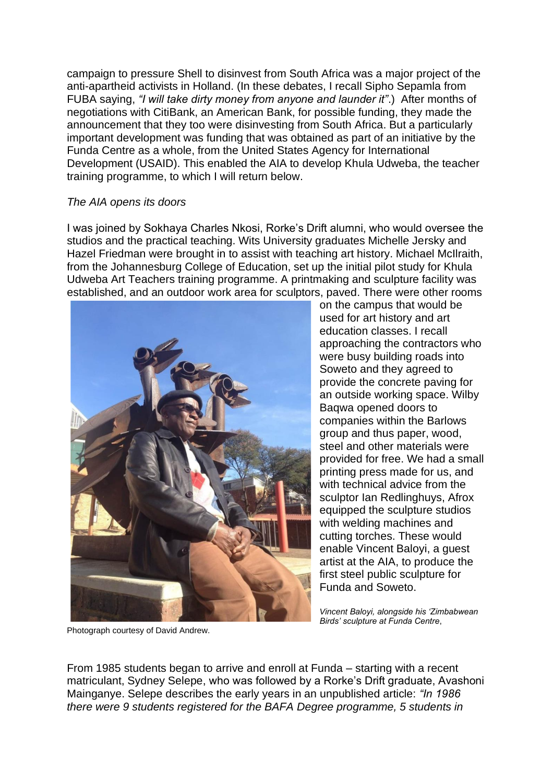campaign to pressure Shell to disinvest from South Africa was a major project of the anti-apartheid activists in Holland. (In these debates, I recall Sipho Sepamla from FUBA saying, *"I will take dirty money from anyone and launder it"*.) After months of negotiations with CitiBank, an American Bank, for possible funding, they made the announcement that they too were disinvesting from South Africa. But a particularly important development was funding that was obtained as part of an initiative by the Funda Centre as a whole, from the United States Agency for International Development (USAID). This enabled the AIA to develop Khula Udweba, the teacher training programme, to which I will return below.

## *The AIA opens its doors*

I was joined by Sokhaya Charles Nkosi, Rorke's Drift alumni, who would oversee the studios and the practical teaching. Wits University graduates Michelle Jersky and Hazel Friedman were brought in to assist with teaching art history. Michael McIlraith, from the Johannesburg College of Education, set up the initial pilot study for Khula Udweba Art Teachers training programme. A printmaking and sculpture facility was established, and an outdoor work area for sculptors, paved. There were other rooms



on the campus that would be used for art history and art education classes. I recall approaching the contractors who were busy building roads into Soweto and they agreed to provide the concrete paving for an outside working space. Wilby Baqwa opened doors to companies within the Barlows group and thus paper, wood, steel and other materials were provided for free. We had a small printing press made for us, and with technical advice from the sculptor Ian Redlinghuys, Afrox equipped the sculpture studios with welding machines and cutting torches. These would enable Vincent Baloyi, a guest artist at the AIA, to produce the first steel public sculpture for Funda and Soweto.

*Vincent Baloyi, alongside his 'Zimbabwean Birds' sculpture at Funda Centre*,

Photograph courtesy of David Andrew.

From 1985 students began to arrive and enroll at Funda – starting with a recent matriculant, Sydney Selepe, who was followed by a Rorke's Drift graduate, Avashoni Mainganye. Selepe describes the early years in an unpublished article: *"In 1986 there were 9 students registered for the BAFA Degree programme, 5 students in*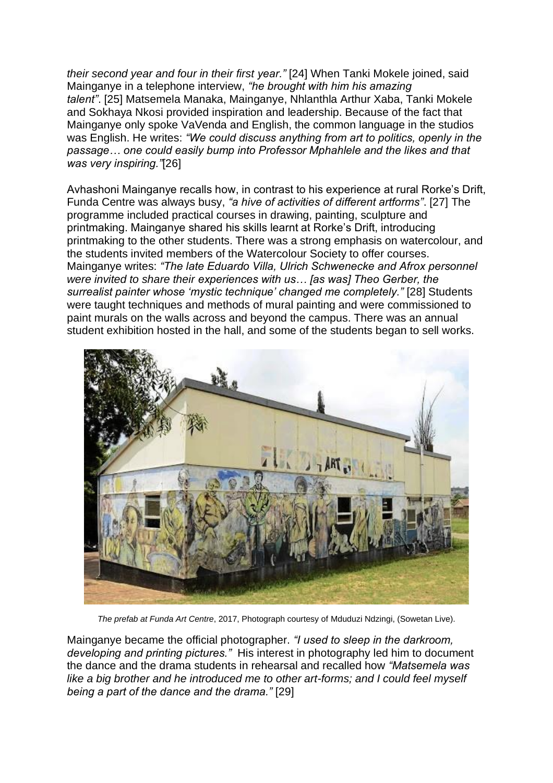*their second year and four in their first year."* [\[24\]](https://asai.co.za/participatory-pedagogies-the-african-institute-of-art/#_edn24) When Tanki Mokele joined, said Mainganye in a telephone interview, *"he brought with him his amazing talent"*. [\[25\]](https://asai.co.za/participatory-pedagogies-the-african-institute-of-art/#_edn25) Matsemela Manaka, Mainganye, Nhlanthla Arthur Xaba, Tanki Mokele and Sokhaya Nkosi provided inspiration and leadership. Because of the fact that Mainganye only spoke VaVenda and English, the common language in the studios was English. He writes: *"We could discuss anything from art to politics, openly in the passage… one could easily bump into Professor Mphahlele and the likes and that was very inspiring."*[\[26\]](https://asai.co.za/participatory-pedagogies-the-african-institute-of-art/#_edn26)

Avhashoni Mainganye recalls how, in contrast to his experience at rural Rorke's Drift, Funda Centre was always busy, *"a hive of activities of different artforms"*. [\[27\]](https://asai.co.za/participatory-pedagogies-the-african-institute-of-art/#_edn27) The programme included practical courses in drawing, painting, sculpture and printmaking. Mainganye shared his skills learnt at Rorke's Drift, introducing printmaking to the other students. There was a strong emphasis on watercolour, and the students invited members of the Watercolour Society to offer courses. Mainganye writes: *"The late Eduardo Villa, Ulrich Schwenecke and Afrox personnel were invited to share their experiences with us… [as was] Theo Gerber, the surrealist painter whose 'mystic technique' changed me completely."* [\[28\]](https://asai.co.za/participatory-pedagogies-the-african-institute-of-art/#_edn28) Students were taught techniques and methods of mural painting and were commissioned to paint murals on the walls across and beyond the campus. There was an annual student exhibition hosted in the hall, and some of the students began to sell works.



*The prefab at Funda Art Centre*, 2017, Photograph courtesy of Mduduzi Ndzingi, (Sowetan Live).

Mainganye became the official photographer. *"I used to sleep in the darkroom, developing and printing pictures."* His interest in photography led him to document the dance and the drama students in rehearsal and recalled how *"Matsemela was like a big brother and he introduced me to other art-forms; and I could feel myself being a part of the dance and the drama."* [\[29\]](https://asai.co.za/participatory-pedagogies-the-african-institute-of-art/#_edn29)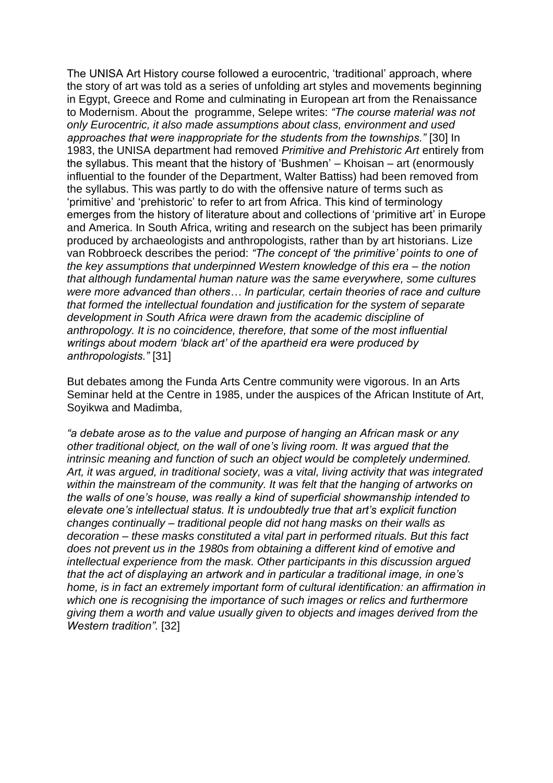The UNISA Art History course followed a eurocentric, 'traditional' approach, where the story of art was told as a series of unfolding art styles and movements beginning in Egypt, Greece and Rome and culminating in European art from the Renaissance to Modernism. About the programme, Selepe writes: *"The course material was not only Eurocentric, it also made assumptions about class, environment and used approaches that were inappropriate for the students from the townships."* [\[30\]](https://asai.co.za/participatory-pedagogies-the-african-institute-of-art/#_edn30) In 1983, the UNISA department had removed *Primitive and Prehistoric Art* entirely from the syllabus. This meant that the history of 'Bushmen' – Khoisan – art (enormously influential to the founder of the Department, Walter Battiss) had been removed from the syllabus. This was partly to do with the offensive nature of terms such as 'primitive' and 'prehistoric' to refer to art from Africa. This kind of terminology emerges from the history of literature about and collections of 'primitive art' in Europe and America. In South Africa, writing and research on the subject has been primarily produced by archaeologists and anthropologists, rather than by art historians. Lize van Robbroeck describes the period: *"The concept of 'the primitive' points to one of the key assumptions that underpinned Western knowledge of this era – the notion that although fundamental human nature was the same everywhere, some cultures were more advanced than others… In particular, certain theories of race and culture that formed the intellectual foundation and justification for the system of separate development in South Africa were drawn from the academic discipline of anthropology. It is no coincidence, therefore, that some of the most influential writings about modern 'black art' of the apartheid era were produced by anthropologists."* [\[31\]](https://asai.co.za/participatory-pedagogies-the-african-institute-of-art/#_edn31)

But debates among the Funda Arts Centre community were vigorous. In an Arts Seminar held at the Centre in 1985, under the auspices of the African Institute of Art, Soyikwa and Madimba,

*"a debate arose as to the value and purpose of hanging an African mask or any other traditional object, on the wall of one's living room. It was argued that the intrinsic meaning and function of such an object would be completely undermined. Art, it was argued, in traditional society, was a vital, living activity that was integrated within the mainstream of the community. It was felt that the hanging of artworks on the walls of one's house, was really a kind of superficial showmanship intended to elevate one's intellectual status. It is undoubtedly true that art's explicit function changes continually – traditional people did not hang masks on their walls as decoration – these masks constituted a vital part in performed rituals. But this fact does not prevent us in the 1980s from obtaining a different kind of emotive and intellectual experience from the mask. Other participants in this discussion argued that the act of displaying an artwork and in particular a traditional image, in one's home, is in fact an extremely important form of cultural identification: an affirmation in which one is recognising the importance of such images or relics and furthermore giving them a worth and value usually given to objects and images derived from the Western tradition".* [\[32\]](https://asai.co.za/participatory-pedagogies-the-african-institute-of-art/#_edn32)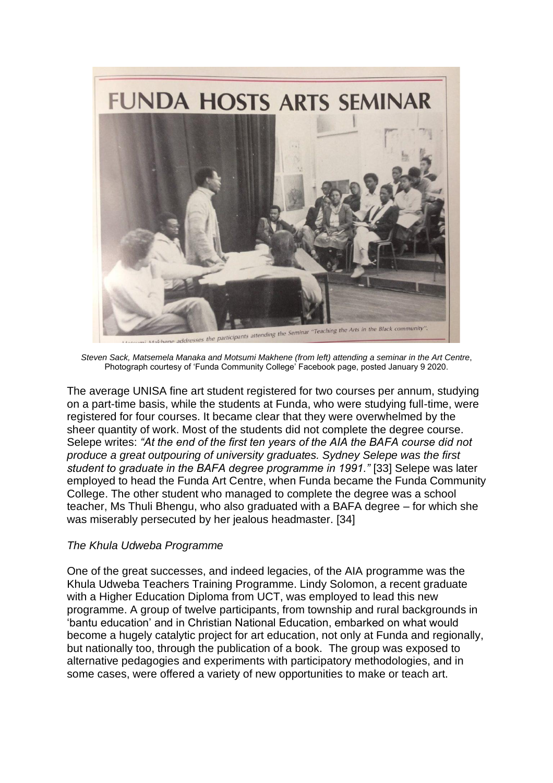

*Steven Sack, Matsemela Manaka and Motsumi Makhene (from left) attending a seminar in the Art Centre*, Photograph courtesy of 'Funda Community College' Facebook page, posted January 9 2020.

The average UNISA fine art student registered for two courses per annum, studying on a part-time basis, while the students at Funda, who were studying full-time, were registered for four courses. It became clear that they were overwhelmed by the sheer quantity of work. Most of the students did not complete the degree course. Selepe writes: *"At the end of the first ten years of the AIA the BAFA course did not produce a great outpouring of university graduates. Sydney Selepe was the first student to graduate in the BAFA degree programme in 1991."* [\[33\]](https://asai.co.za/participatory-pedagogies-the-african-institute-of-art/#_edn33) Selepe was later employed to head the Funda Art Centre, when Funda became the Funda Community College. The other student who managed to complete the degree was a school teacher, Ms Thuli Bhengu, who also graduated with a BAFA degree – for which she was miserably persecuted by her jealous headmaster. [\[34\]](https://asai.co.za/participatory-pedagogies-the-african-institute-of-art/#_edn34)

## *The Khula Udweba Programme*

One of the great successes, and indeed legacies, of the AIA programme was the Khula Udweba Teachers Training Programme. Lindy Solomon, a recent graduate with a Higher Education Diploma from UCT, was employed to lead this new programme. A group of twelve participants, from township and rural backgrounds in 'bantu education' and in Christian National Education, embarked on what would become a hugely catalytic project for art education, not only at Funda and regionally, but nationally too, through the publication of a book. The group was exposed to alternative pedagogies and experiments with participatory methodologies, and in some cases, were offered a variety of new opportunities to make or teach art.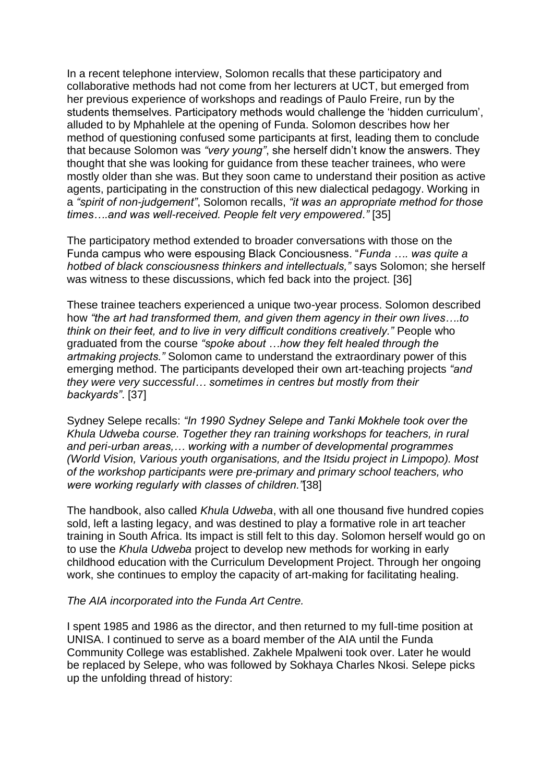In a recent telephone interview, Solomon recalls that these participatory and collaborative methods had not come from her lecturers at UCT, but emerged from her previous experience of workshops and readings of Paulo Freire, run by the students themselves. Participatory methods would challenge the 'hidden curriculum', alluded to by Mphahlele at the opening of Funda. Solomon describes how her method of questioning confused some participants at first, leading them to conclude that because Solomon was *"very young"*, she herself didn't know the answers. They thought that she was looking for guidance from these teacher trainees, who were mostly older than she was. But they soon came to understand their position as active agents, participating in the construction of this new dialectical pedagogy. Working in a *"spirit of non-judgement"*, Solomon recalls, *"it was an appropriate method for those times….and was well-received. People felt very empowered."* [\[35\]](https://asai.co.za/participatory-pedagogies-the-african-institute-of-art/#_edn35)

The participatory method extended to broader conversations with those on the Funda campus who were espousing Black Conciousness. "*Funda …. was quite a hotbed of black consciousness thinkers and intellectuals,"* says Solomon; she herself was witness to these discussions, which fed back into the project. [\[36\]](https://asai.co.za/participatory-pedagogies-the-african-institute-of-art/#_edn36)

These trainee teachers experienced a unique two-year process. Solomon described how *"the art had transformed them, and given them agency in their own lives….to think on their feet, and to live in very difficult conditions creatively."* People who graduated from the course *"spoke about …how they felt healed through the artmaking projects."* Solomon came to understand the extraordinary power of this emerging method. The participants developed their own art-teaching projects *"and they were very successful… sometimes in centres but mostly from their backyards"*. [\[37\]](https://asai.co.za/participatory-pedagogies-the-african-institute-of-art/#_edn37)

Sydney Selepe recalls: *"In 1990 Sydney Selepe and Tanki Mokhele took over the Khula Udweba course. Together they ran training workshops for teachers, in rural and peri-urban areas,… working with a number of developmental programmes (World Vision, Various youth organisations, and the Itsidu project in Limpopo). Most of the workshop participants were pre-primary and primary school teachers, who were working regularly with classes of children."*[\[38\]](https://asai.co.za/participatory-pedagogies-the-african-institute-of-art/#_edn38)

The handbook, also called *Khula Udweba*, with all one thousand five hundred copies sold, left a lasting legacy, and was destined to play a formative role in art teacher training in South Africa. Its impact is still felt to this day. Solomon herself would go on to use the *Khula Udweba* project to develop new methods for working in early childhood education with the Curriculum Development Project. Through her ongoing work, she continues to employ the capacity of art-making for facilitating healing.

#### *The AIA incorporated into the Funda Art Centre.*

I spent 1985 and 1986 as the director, and then returned to my full-time position at UNISA. I continued to serve as a board member of the AIA until the Funda Community College was established. Zakhele Mpalweni took over. Later he would be replaced by Selepe, who was followed by Sokhaya Charles Nkosi. Selepe picks up the unfolding thread of history: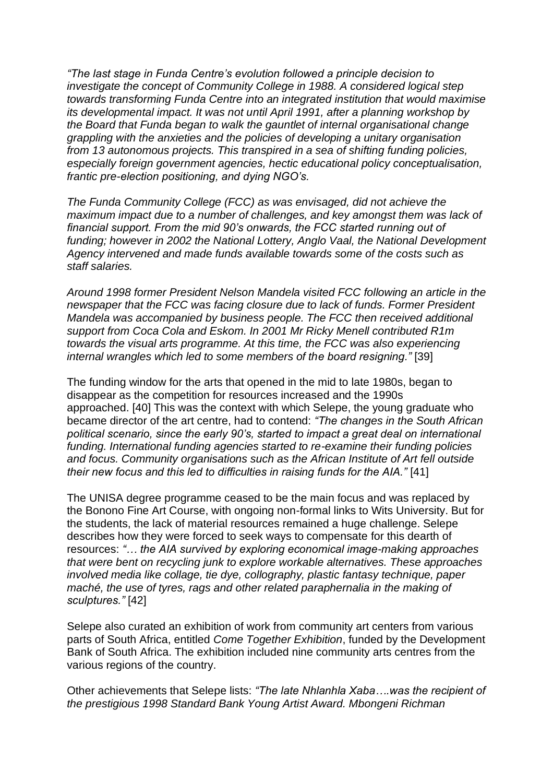*"The last stage in Funda Centre's evolution followed a principle decision to investigate the concept of Community College in 1988. A considered logical step towards transforming Funda Centre into an integrated institution that would maximise its developmental impact. It was not until April 1991, after a planning workshop by the Board that Funda began to walk the gauntlet of internal organisational change grappling with the anxieties and the policies of developing a unitary organisation from 13 autonomous projects. This transpired in a sea of shifting funding policies, especially foreign government agencies, hectic educational policy conceptualisation, frantic pre-election positioning, and dying NGO's.*

*The Funda Community College (FCC) as was envisaged, did not achieve the maximum impact due to a number of challenges, and key amongst them was lack of financial support. From the mid 90's onwards, the FCC started running out of funding; however in 2002 the National Lottery, Anglo Vaal, the National Development Agency intervened and made funds available towards some of the costs such as staff salaries.*

*Around 1998 former President Nelson Mandela visited FCC following an article in the newspaper that the FCC was facing closure due to lack of funds. Former President Mandela was accompanied by business people. The FCC then received additional support from Coca Cola and Eskom. In 2001 Mr Ricky Menell contributed R1m towards the visual arts programme. At this time, the FCC was also experiencing internal wrangles which led to some members of the board resigning."* [\[39\]](https://asai.co.za/participatory-pedagogies-the-african-institute-of-art/#_edn39)

The funding window for the arts that opened in the mid to late 1980s, began to disappear as the competition for resources increased and the 1990s approached. [\[40\]](https://asai.co.za/participatory-pedagogies-the-african-institute-of-art/#_edn40) This was the context with which Selepe, the young graduate who became director of the art centre, had to contend: *"The changes in the South African political scenario, since the early 90's, started to impact a great deal on international funding. International funding agencies started to re-examine their funding policies and focus. Community organisations such as the African Institute of Art fell outside their new focus and this led to difficulties in raising funds for the AIA."* [\[41\]](https://asai.co.za/participatory-pedagogies-the-african-institute-of-art/#_edn41)

The UNISA degree programme ceased to be the main focus and was replaced by the Bonono Fine Art Course, with ongoing non-formal links to Wits University. But for the students, the lack of material resources remained a huge challenge. Selepe describes how they were forced to seek ways to compensate for this dearth of resources: *"… the AIA survived by exploring economical image-making approaches that were bent on recycling junk to explore workable alternatives. These approaches involved media like collage, tie dye, collography, plastic fantasy technique, paper maché, the use of tyres, rags and other related paraphernalia in the making of sculptures."* [\[42\]](https://asai.co.za/participatory-pedagogies-the-african-institute-of-art/#_edn42)

Selepe also curated an exhibition of work from community art centers from various parts of South Africa, entitled *Come Together Exhibition*, funded by the Development Bank of South Africa. The exhibition included nine community arts centres from the various regions of the country.

Other achievements that Selepe lists: *"The late Nhlanhla Xaba….was the recipient of the prestigious 1998 Standard Bank Young Artist Award. Mbongeni Richman*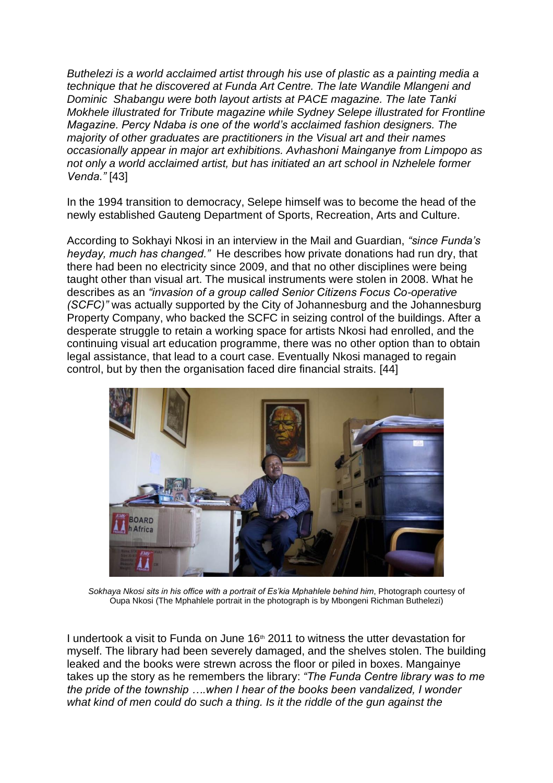*Buthelezi is a world acclaimed artist through his use of plastic as a painting media a technique that he discovered at Funda Art Centre. The late Wandile Mlangeni and Dominic Shabangu were both layout artists at PACE magazine. The late Tanki Mokhele illustrated for Tribute magazine while Sydney Selepe illustrated for Frontline Magazine. Percy Ndaba is one of the world's acclaimed fashion designers. The majority of other graduates are practitioners in the Visual art and their names occasionally appear in major art exhibitions. Avhashoni Mainganye from Limpopo as not only a world acclaimed artist, but has initiated an art school in Nzhelele former Venda."* [\[43\]](https://asai.co.za/participatory-pedagogies-the-african-institute-of-art/#_edn43)

In the 1994 transition to democracy, Selepe himself was to become the head of the newly established Gauteng Department of Sports, Recreation, Arts and Culture.

According to Sokhayi Nkosi in an interview in the Mail and Guardian, *"since Funda's heyday, much has changed."* He describes how private donations had run dry, that there had been no electricity since 2009, and that no other disciplines were being taught other than visual art. The musical instruments were stolen in 2008. What he describes as an *"invasion of a group called Senior Citizens Focus Co-operative (SCFC)"* was actually supported by the City of Johannesburg and the Johannesburg Property Company, who backed the SCFC in seizing control of the buildings. After a desperate struggle to retain a working space for artists Nkosi had enrolled, and the continuing visual art education programme, there was no other option than to obtain legal assistance, that lead to a court case. Eventually Nkosi managed to regain control, but by then the organisation faced dire financial straits. [\[44\]](https://asai.co.za/participatory-pedagogies-the-african-institute-of-art/#_edn44)



*Sokhaya Nkosi sits in his office with a portrait of Es'kia Mphahlele behind him*, Photograph courtesy of Oupa Nkosi (The Mphahlele portrait in the photograph is by Mbongeni Richman Buthelezi)

I undertook a visit to Funda on June  $16<sup>th</sup>$  2011 to witness the utter devastation for myself. The library had been severely damaged, and the shelves stolen. The building leaked and the books were strewn across the floor or piled in boxes. Mangainye takes up the story as he remembers the library: *"The Funda Centre library was to me the pride of the township ….when I hear of the books been vandalized, I wonder what kind of men could do such a thing. Is it the riddle of the gun against the*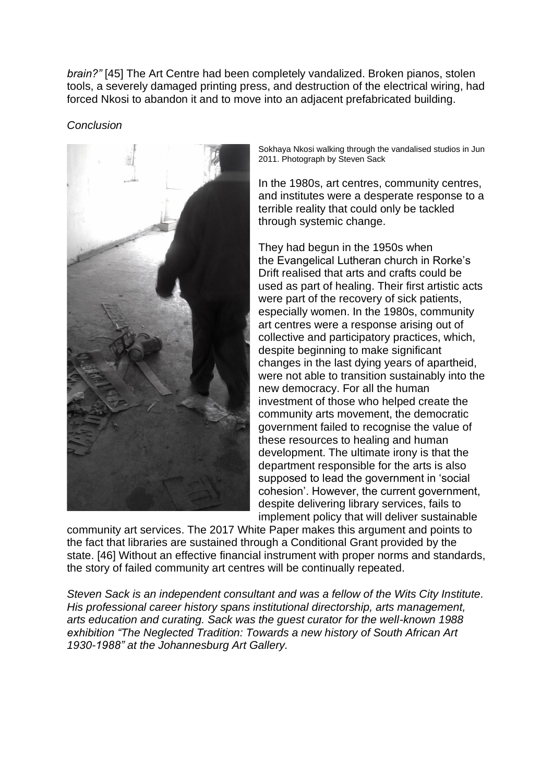*brain?"* [\[45\]](https://asai.co.za/participatory-pedagogies-the-african-institute-of-art/#_edn45) The Art Centre had been completely vandalized. Broken pianos, stolen tools, a severely damaged printing press, and destruction of the electrical wiring, had forced Nkosi to abandon it and to move into an adjacent prefabricated building.

*Conclusion*



Sokhaya Nkosi walking through the vandalised studios in Jun 2011. Photograph by Steven Sack

In the 1980s, art centres, community centres, and institutes were a desperate response to a terrible reality that could only be tackled through systemic change.

They had begun in the 1950s when the Evangelical Lutheran church in Rorke's Drift realised that arts and crafts could be used as part of healing. Their first artistic acts were part of the recovery of sick patients, especially women. In the 1980s, community art centres were a response arising out of collective and participatory practices, which, despite beginning to make significant changes in the last dying years of apartheid, were not able to transition sustainably into the new democracy. For all the human investment of those who helped create the community arts movement, the democratic government failed to recognise the value of these resources to healing and human development. The ultimate irony is that the department responsible for the arts is also supposed to lead the government in 'social cohesion'. However, the current government, despite delivering library services, fails to implement policy that will deliver sustainable

community art services. The 2017 White Paper makes this argument and points to the fact that libraries are sustained through a Conditional Grant provided by the state. [\[46\]](https://asai.co.za/participatory-pedagogies-the-african-institute-of-art/#_edn46) Without an effective financial instrument with proper norms and standards, the story of failed community art centres will be continually repeated.

*Steven Sack is an independent consultant and was a fellow of the Wits City Institute. His professional career history spans institutional directorship, arts management, arts education and curating. Sack was the guest curator for the well-known 1988 exhibition "The Neglected Tradition: Towards a new history of South African Art 1930-1988" at the Johannesburg Art Gallery.*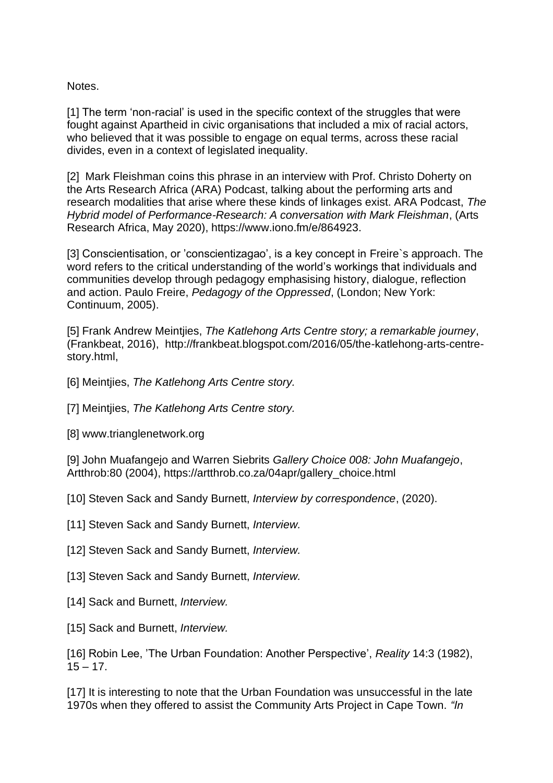Notes.

[\[1\]](https://asai.co.za/participatory-pedagogies-the-african-institute-of-art/#_ednref1) The term 'non-racial' is used in the specific context of the struggles that were fought against Apartheid in civic organisations that included a mix of racial actors, who believed that it was possible to engage on equal terms, across these racial divides, even in a context of legislated inequality.

[\[2\]](https://asai.co.za/participatory-pedagogies-the-african-institute-of-art/#_ednref2) Mark Fleishman coins this phrase in an interview with Prof. Christo Doherty on the Arts Research Africa (ARA) Podcast, talking about the performing arts and research modalities that arise where these kinds of linkages exist. ARA Podcast, *The Hybrid model of Performance-Research: A conversation with Mark Fleishman*, (Arts Research Africa, May 2020), https://www.iono.fm/e/864923.

[\[3\]](https://asai.co.za/participatory-pedagogies-the-african-institute-of-art/#_ednref3) Conscientisation, or 'conscientizagao', is a key concept in Freire`s approach. The word refers to the critical understanding of the world's workings that individuals and communities develop through pedagogy emphasising history, dialogue, reflection and action. Paulo Freire, *Pedagogy of the Oppressed*, (London; New York: Continuum, 2005).

[\[5\]](https://asai.co.za/participatory-pedagogies-the-african-institute-of-art/#_ednref5) Frank Andrew Meintjies, *The Katlehong Arts Centre story; a remarkable journey*, (Frankbeat, 2016), http://frankbeat.blogspot.com/2016/05/the-katlehong-arts-centrestory.html,

- [\[6\]](https://asai.co.za/participatory-pedagogies-the-african-institute-of-art/#_ednref6) Meintjies, *The Katlehong Arts Centre story.*
- [\[7\]](https://asai.co.za/participatory-pedagogies-the-african-institute-of-art/#_ednref7) Meintjies, *The Katlehong Arts Centre story.*
- [\[8\]](https://asai.co.za/participatory-pedagogies-the-african-institute-of-art/#_ednref8) www.trianglenetwork.org

[\[9\]](https://asai.co.za/participatory-pedagogies-the-african-institute-of-art/#_ednref9) John Muafangejo and Warren Siebrits *Gallery Choice 008: John Muafangejo*, Artthrob:80 (2004), [https://artthrob.co.za/04apr/gallery\\_choice.html](https://artthrob.co.za/04apr/gallery_choice.html)

- [\[10\]](https://asai.co.za/participatory-pedagogies-the-african-institute-of-art/#_ednref10) Steven Sack and Sandy Burnett, *Interview by correspondence*, (2020).
- [\[11\]](https://asai.co.za/participatory-pedagogies-the-african-institute-of-art/#_ednref11) Steven Sack and Sandy Burnett, *Interview.*
- [\[12\]](https://asai.co.za/participatory-pedagogies-the-african-institute-of-art/#_ednref12) Steven Sack and Sandy Burnett, *Interview.*
- [\[13\]](https://asai.co.za/participatory-pedagogies-the-african-institute-of-art/#_ednref13) Steven Sack and Sandy Burnett, *Interview.*
- [\[14\]](https://asai.co.za/participatory-pedagogies-the-african-institute-of-art/#_ednref14) Sack and Burnett, *Interview.*
- [\[15\]](https://asai.co.za/participatory-pedagogies-the-african-institute-of-art/#_ednref15) Sack and Burnett, *Interview.*

[\[16\]](https://asai.co.za/participatory-pedagogies-the-african-institute-of-art/#_ednref16) Robin Lee, 'The Urban Foundation: Another Perspective', *Reality* 14:3 (1982),  $15 - 17$ .

[\[17\]](https://asai.co.za/participatory-pedagogies-the-african-institute-of-art/#_ednref17) It is interesting to note that the Urban Foundation was unsuccessful in the late 1970s when they offered to assist the Community Arts Project in Cape Town. *"In*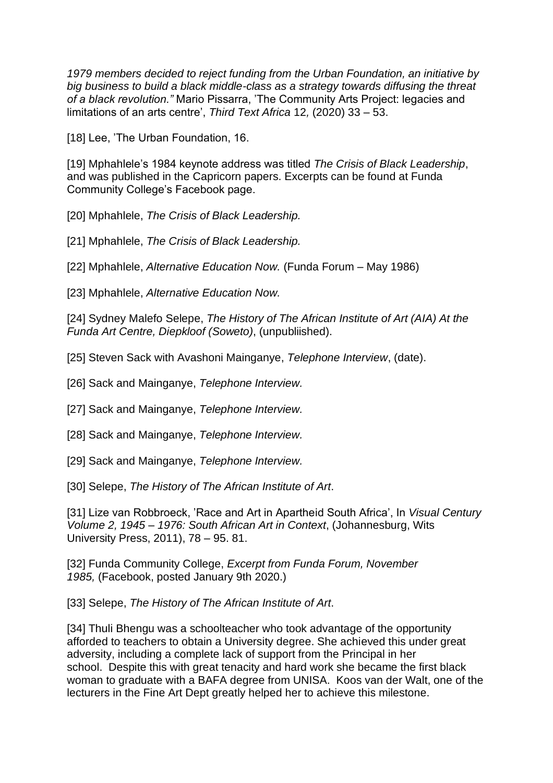*1979 members decided to reject funding from the Urban Foundation, an initiative by big business to build a black middle-class as a strategy towards diffusing the threat of a black revolution."* Mario Pissarra, 'The Community Arts Project: legacies and limitations of an arts centre', *Third Text Africa* 12*,* (2020) 33 – 53.

[\[18\]](https://asai.co.za/participatory-pedagogies-the-african-institute-of-art/#_ednref18) Lee, 'The Urban Foundation, 16.

[\[19\]](https://asai.co.za/participatory-pedagogies-the-african-institute-of-art/#_ednref19) Mphahlele's 1984 keynote address was titled *The Crisis of Black Leadership*, and was published in the Capricorn papers. Excerpts can be found at Funda Community College's Facebook page.

[\[20\]](https://asai.co.za/participatory-pedagogies-the-african-institute-of-art/#_ednref20) Mphahlele, *The Crisis of Black Leadership.*

[\[21\]](https://asai.co.za/participatory-pedagogies-the-african-institute-of-art/#_ednref21) Mphahlele, *The Crisis of Black Leadership.*

[\[22\]](https://asai.co.za/participatory-pedagogies-the-african-institute-of-art/#_ednref22) Mphahlele, *Alternative Education Now.* (Funda Forum – May 1986)

[\[23\]](https://asai.co.za/participatory-pedagogies-the-african-institute-of-art/#_ednref23) Mphahlele, *Alternative Education Now.*

[\[24\]](https://asai.co.za/participatory-pedagogies-the-african-institute-of-art/#_ednref24) Sydney Malefo Selepe, *The History of The African Institute of Art (AIA) At the Funda Art Centre, Diepkloof (Soweto)*, (unpubliished).

[\[25\]](https://asai.co.za/participatory-pedagogies-the-african-institute-of-art/#_ednref25) Steven Sack with Avashoni Mainganye, *Telephone Interview*, (date).

[\[26\]](https://asai.co.za/participatory-pedagogies-the-african-institute-of-art/#_ednref26) Sack and Mainganye, *Telephone Interview.*

[\[27\]](https://asai.co.za/participatory-pedagogies-the-african-institute-of-art/#_ednref27) Sack and Mainganye, *Telephone Interview.*

[\[28\]](https://asai.co.za/participatory-pedagogies-the-african-institute-of-art/#_ednref28) Sack and Mainganye, *Telephone Interview.*

[\[29\]](https://asai.co.za/participatory-pedagogies-the-african-institute-of-art/#_ednref29) Sack and Mainganye, *Telephone Interview.*

[\[30\]](https://asai.co.za/participatory-pedagogies-the-african-institute-of-art/#_ednref30) Selepe, *The History of The African Institute of Art*.

[\[31\]](https://asai.co.za/participatory-pedagogies-the-african-institute-of-art/#_ednref31) Lize van Robbroeck, 'Race and Art in Apartheid South Africa', In *Visual Century Volume 2, 1945 – 1976: South African Art in Context*, (Johannesburg, Wits University Press, 2011), 78 – 95. 81.

[\[32\]](https://asai.co.za/participatory-pedagogies-the-african-institute-of-art/#_ednref32) Funda Community College, *Excerpt from Funda Forum, November 1985,* (Facebook, posted January 9th 2020.)

[\[33\]](https://asai.co.za/participatory-pedagogies-the-african-institute-of-art/#_ednref33) Selepe, *The History of The African Institute of Art*.

[\[34\]](https://asai.co.za/participatory-pedagogies-the-african-institute-of-art/#_ednref34) Thuli Bhengu was a schoolteacher who took advantage of the opportunity afforded to teachers to obtain a University degree. She achieved this under great adversity, including a complete lack of support from the Principal in her school. Despite this with great tenacity and hard work she became the first black woman to graduate with a BAFA degree from UNISA. Koos van der Walt, one of the lecturers in the Fine Art Dept greatly helped her to achieve this milestone.